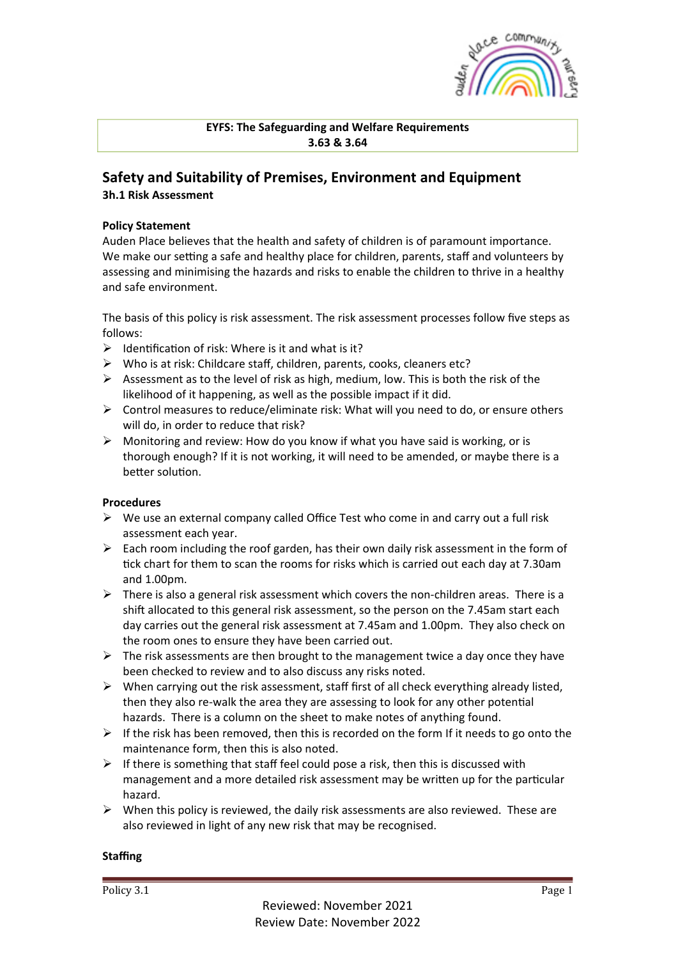

**EYFS: The Safeguarding and Welfare Requirements 3.63 & 3.64**

# **Safety and Suitability of Premises, Environment and Equipment**

**3h.1 Risk Assessment**

### **Policy Statement**

Auden Place believes that the health and safety of children is of paramount importance. We make our setting a safe and healthy place for children, parents, staff and volunteers by assessing and minimising the hazards and risks to enable the children to thrive in a healthy and safe environment.

The basis of this policy is risk assessment. The risk assessment processes follow five steps as follows:

- $\triangleright$  Identification of risk: Where is it and what is it?
- $\triangleright$  Who is at risk: Childcare staff, children, parents, cooks, cleaners etc?
- $\triangleright$  Assessment as to the level of risk as high, medium, low. This is both the risk of the likelihood of it happening, as well as the possible impact if it did.
- $\triangleright$  Control measures to reduce/eliminate risk: What will you need to do, or ensure others will do, in order to reduce that risk?
- $\triangleright$  Monitoring and review: How do you know if what you have said is working, or is thorough enough? If it is not working, it will need to be amended, or maybe there is a better solution.

#### **Procedures**

- $\triangleright$  We use an external company called Office Test who come in and carry out a full risk assessment each year.
- $\triangleright$  Each room including the roof garden, has their own daily risk assessment in the form of tick chart for them to scan the rooms for risks which is carried out each day at 7.30am and 1.00pm.
- $\triangleright$  There is also a general risk assessment which covers the non-children areas. There is a shift allocated to this general risk assessment, so the person on the 7.45am start each day carries out the general risk assessment at 7.45am and 1.00pm. They also check on the room ones to ensure they have been carried out.
- $\triangleright$  The risk assessments are then brought to the management twice a day once they have been checked to review and to also discuss any risks noted.
- $\triangleright$  When carrying out the risk assessment, staff first of all check everything already listed, then they also re-walk the area they are assessing to look for any other potential hazards. There is a column on the sheet to make notes of anything found.
- $\triangleright$  If the risk has been removed, then this is recorded on the form If it needs to go onto the maintenance form, then this is also noted.
- $\triangleright$  If there is something that staff feel could pose a risk, then this is discussed with management and a more detailed risk assessment may be written up for the particular hazard.
- $\triangleright$  When this policy is reviewed, the daily risk assessments are also reviewed. These are also reviewed in light of any new risk that may be recognised.

#### **Staffing**

Policy 3.1 Page 1